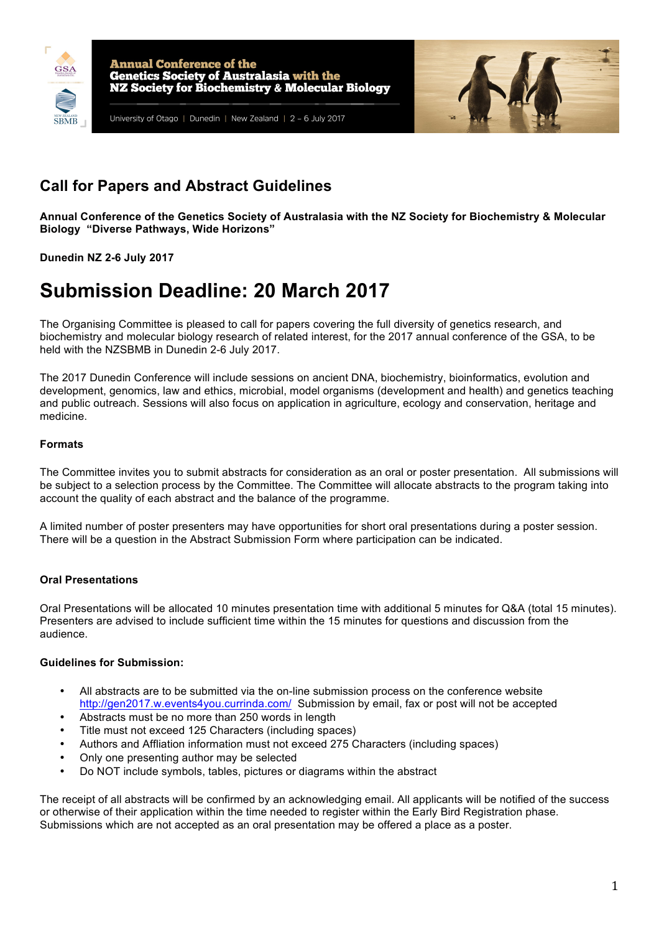



# **Call for Papers and Abstract Guidelines**

**Annual Conference of the Genetics Society of Australasia with the NZ Society for Biochemistry & Molecular Biology "Diverse Pathways, Wide Horizons"**

**Dunedin NZ 2-6 July 2017**

# **Submission Deadline: 20 March 2017**

The Organising Committee is pleased to call for papers covering the full diversity of genetics research, and biochemistry and molecular biology research of related interest, for the 2017 annual conference of the GSA, to be held with the NZSBMB in Dunedin 2-6 July 2017.

The 2017 Dunedin Conference will include sessions on ancient DNA, biochemistry, bioinformatics, evolution and development, genomics, law and ethics, microbial, model organisms (development and health) and genetics teaching and public outreach. Sessions will also focus on application in agriculture, ecology and conservation, heritage and medicine.

#### **Formats**

The Committee invites you to submit abstracts for consideration as an oral or poster presentation. All submissions will be subject to a selection process by the Committee. The Committee will allocate abstracts to the program taking into account the quality of each abstract and the balance of the programme.

A limited number of poster presenters may have opportunities for short oral presentations during a poster session. There will be a question in the Abstract Submission Form where participation can be indicated.

## **Oral Presentations**

Oral Presentations will be allocated 10 minutes presentation time with additional 5 minutes for Q&A (total 15 minutes). Presenters are advised to include sufficient time within the 15 minutes for questions and discussion from the audience.

#### **Guidelines for Submission:**

- All abstracts are to be submitted via the on-line submission process on the conference website http://gen2017.w.events4you.currinda.com/ Submission by email, fax or post will not be accepted
- Abstracts must be no more than 250 words in length
- Title must not exceed 125 Characters (including spaces)
- Authors and Affliation information must not exceed 275 Characters (including spaces)
- Only one presenting author may be selected
- Do NOT include symbols, tables, pictures or diagrams within the abstract

The receipt of all abstracts will be confirmed by an acknowledging email. All applicants will be notified of the success or otherwise of their application within the time needed to register within the Early Bird Registration phase. Submissions which are not accepted as an oral presentation may be offered a place as a poster.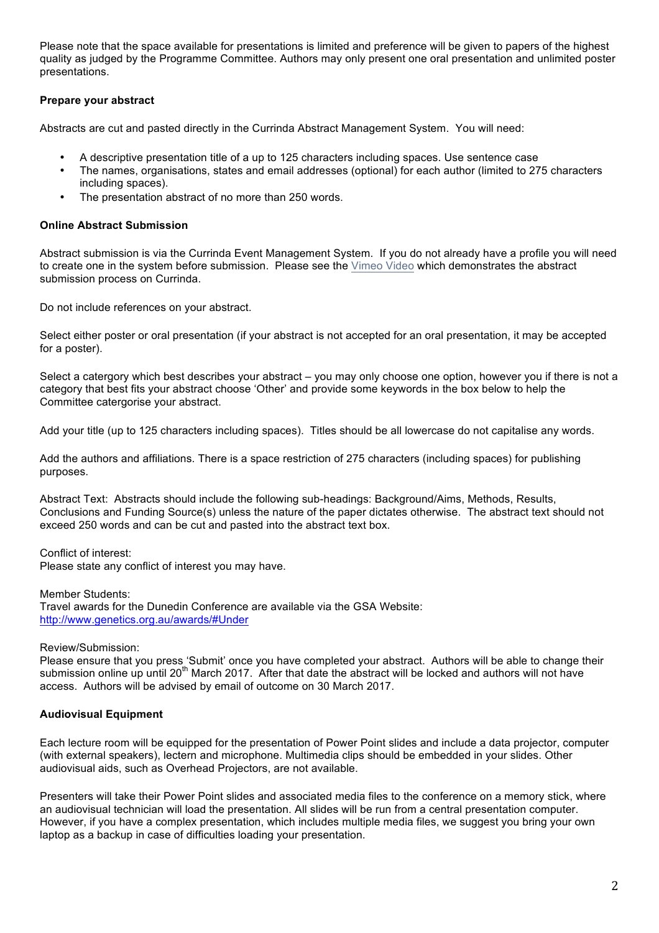Please note that the space available for presentations is limited and preference will be given to papers of the highest quality as judged by the Programme Committee. Authors may only present one oral presentation and unlimited poster presentations.

### **Prepare your abstract**

Abstracts are cut and pasted directly in the Currinda Abstract Management System. You will need:

- A descriptive presentation title of a up to 125 characters including spaces. Use sentence case
- The names, organisations, states and email addresses (optional) for each author (limited to 275 characters including spaces).
- The presentation abstract of no more than 250 words.

#### **Online Abstract Submission**

Abstract submission is via the Currinda Event Management System. If you do not already have a profile you will need to create one in the system before submission. Please see the Vimeo Video which demonstrates the abstract submission process on Currinda.

Do not include references on your abstract.

Select either poster or oral presentation (if your abstract is not accepted for an oral presentation, it may be accepted for a poster).

Select a catergory which best describes your abstract – you may only choose one option, however you if there is not a category that best fits your abstract choose 'Other' and provide some keywords in the box below to help the Committee catergorise your abstract.

Add your title (up to 125 characters including spaces). Titles should be all lowercase do not capitalise any words.

Add the authors and affiliations. There is a space restriction of 275 characters (including spaces) for publishing purposes.

Abstract Text: Abstracts should include the following sub-headings: Background/Aims, Methods, Results, Conclusions and Funding Source(s) unless the nature of the paper dictates otherwise. The abstract text should not exceed 250 words and can be cut and pasted into the abstract text box.

Conflict of interest: Please state any conflict of interest you may have.

Member Students: Travel awards for the Dunedin Conference are available via the GSA Website: http://www.genetics.org.au/awards/#Under

Review/Submission:

Please ensure that you press 'Submit' once you have completed your abstract. Authors will be able to change their submission online up until 20<sup>th</sup> March 2017. After that date the abstract will be locked and authors will not have access. Authors will be advised by email of outcome on 30 March 2017.

#### **Audiovisual Equipment**

Each lecture room will be equipped for the presentation of Power Point slides and include a data projector, computer (with external speakers), lectern and microphone. Multimedia clips should be embedded in your slides. Other audiovisual aids, such as Overhead Projectors, are not available.

Presenters will take their Power Point slides and associated media files to the conference on a memory stick, where an audiovisual technician will load the presentation. All slides will be run from a central presentation computer. However, if you have a complex presentation, which includes multiple media files, we suggest you bring your own laptop as a backup in case of difficulties loading your presentation.